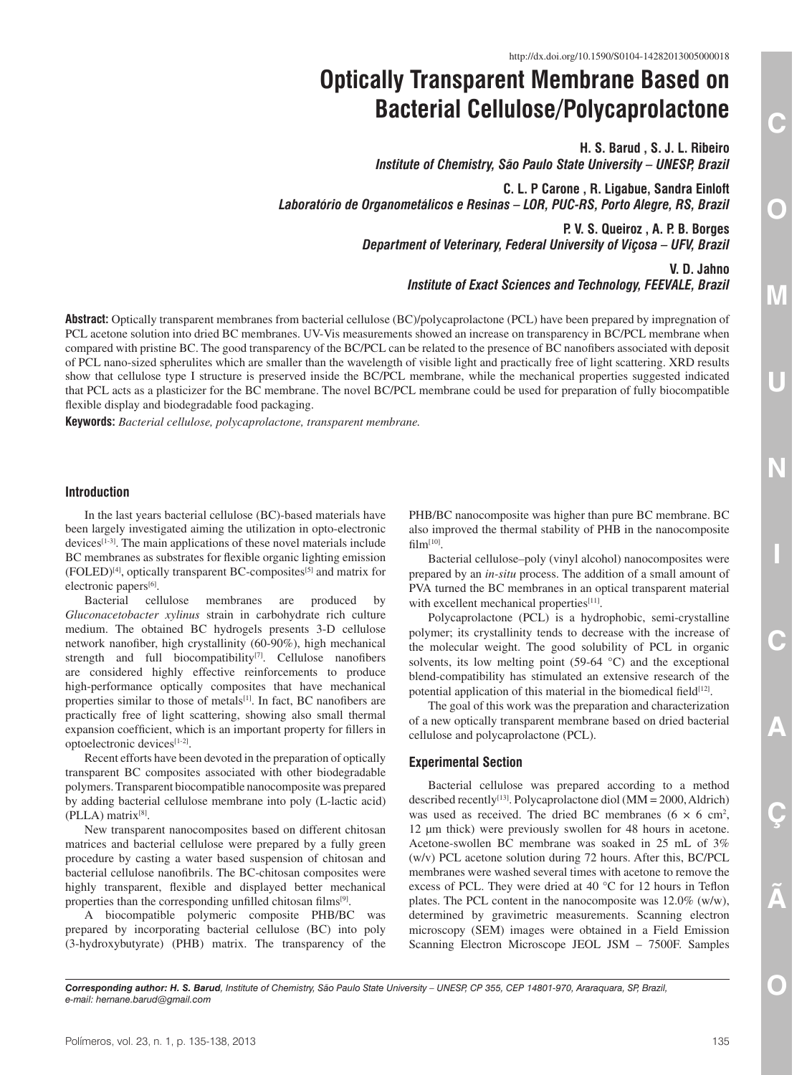# **Optically Transparent Membrane Based on Bacterial Cellulose/Polycaprolactone**

**H. S. Barud , S. J. L. Ribeiro** *Institute of Chemistry, São Paulo State University – UNESP, Brazil*

**C. L. P Carone , R. Ligabue, Sandra Einloft** *Laboratório de Organometálicos e Resinas – LOR, PUC-RS, Porto Alegre, RS, Brazil*

> **P. V. S. Queiroz , A. P. B. Borges** *Department of Veterinary, Federal University of Viçosa – UFV, Brazil*

> > **V. D. Jahno** *Institute of Exact Sciences and Technology, FEEVALE, Brazil*

**Abstract:** Optically transparent membranes from bacterial cellulose (BC)/polycaprolactone (PCL) have been prepared by impregnation of PCL acetone solution into dried BC membranes. UV-Vis measurements showed an increase on transparency in BC/PCL membrane when compared with pristine BC. The good transparency of the BC/PCL can be related to the presence of BC nanofibers associated with deposit of PCL nano-sized spherulites which are smaller than the wavelength of visible light and practically free of light scattering. XRD results show that cellulose type I structure is preserved inside the BC/PCL membrane, while the mechanical properties suggested indicated that PCL acts as a plasticizer for the BC membrane. The novel BC/PCL membrane could be used for preparation of fully biocompatible flexible display and biodegradable food packaging.

**Keywords:** *Bacterial cellulose, polycaprolactone, transparent membrane.*

## **Introduction**

In the last years bacterial cellulose (BC)-based materials have been largely investigated aiming the utilization in opto-electronic devices[1-3]. The main applications of these novel materials include BC membranes as substrates for flexible organic lighting emission (FOLED)[4], optically transparent BC-composites[5] and matrix for electronic papers<sup>[6]</sup>.

Bacterial cellulose membranes are produced by *Gluconacetobacter xylinus* strain in carbohydrate rich culture medium. The obtained BC hydrogels presents 3-D cellulose network nanofiber, high crystallinity (60-90%), high mechanical strength and full biocompatibility<sup>[7]</sup>. Cellulose nanofibers are considered highly effective reinforcements to produce high-performance optically composites that have mechanical properties similar to those of metals<sup>[1]</sup>. In fact, BC nanofibers are practically free of light scattering, showing also small thermal expansion coefficient, which is an important property for fillers in optoelectronic devices[1-2].

Recent efforts have been devoted in the preparation of optically transparent BC composites associated with other biodegradable polymers. Transparent biocompatible nanocomposite was prepared by adding bacterial cellulose membrane into poly (L-lactic acid) (PLLA) matrix[8].

New transparent nanocomposites based on different chitosan matrices and bacterial cellulose were prepared by a fully green procedure by casting a water based suspension of chitosan and bacterial cellulose nanofibrils. The BC-chitosan composites were highly transparent, flexible and displayed better mechanical properties than the corresponding unfilled chitosan films[9].

A biocompatible polymeric composite PHB/BC was prepared by incorporating bacterial cellulose (BC) into poly (3-hydroxybutyrate) (PHB) matrix. The transparency of the PHB/BC nanocomposite was higher than pure BC membrane. BC also improved the thermal stability of PHB in the nanocomposite  $film<sup>[10]</sup>$ .

Bacterial cellulose–poly (vinyl alcohol) nanocomposites were prepared by an *in-situ* process. The addition of a small amount of PVA turned the BC membranes in an optical transparent material with excellent mechanical properties<sup>[11]</sup>.

Polycaprolactone (PCL) is a hydrophobic, semi-crystalline polymer; its crystallinity tends to decrease with the increase of the molecular weight. The good solubility of PCL in organic solvents, its low melting point (59-64 °C) and the exceptional blend-compatibility has stimulated an extensive research of the potential application of this material in the biomedical field $[12]$ .

The goal of this work was the preparation and characterization of a new optically transparent membrane based on dried bacterial cellulose and polycaprolactone (PCL).

### **Experimental Section**

Bacterial cellulose was prepared according to a method described recently<sup>[13]</sup>. Polycaprolactone diol ( $MM = 2000$ , Aldrich) was used as received. The dried BC membranes  $(6 \times 6 \text{ cm}^2,$ 12 µm thick) were previously swollen for 48 hours in acetone. Acetone-swollen BC membrane was soaked in 25 mL of 3% (w/v) PCL acetone solution during 72 hours. After this, BC/PCL membranes were washed several times with acetone to remove the excess of PCL. They were dried at 40 °C for 12 hours in Teflon plates. The PCL content in the nanocomposite was 12.0% (w/w), determined by gravimetric measurements. Scanning electron microscopy (SEM) images were obtained in a Field Emission Scanning Electron Microscope JEOL JSM – 7500F. Samples

*Corresponding author: H. S. Barud, Institute of Chemistry, São Paulo State University – UNESP, CP 355, CEP 14801-970, Araraquara, SP, Brazil, e-mail: [hernane.barud@gmail.com](mailto:hernane.barud@gmail.com)*

COMUNICAÇÃO DE COMUNICAÇÃO DE COMUNICAÇÃO DE COMUNICAÇÃO DE COMUNICAÇÃO DE COMUNICAÇÃO DE COMUNICAÇÃO DE COMUNICAÇÃO DE COMUNICAÇÃO DE COMUNICAÇÃO DE COMUNICAÇÃO DE COMUNICAÇÃO DE COMUNICAÇÃO DE COMUNICAÇÃO DE COMUNICAÇÃO

C

Ç

 $\bullet$ 

Ō

 $\overline{\text{O}}$ 

 $\overline{\textsf{M}}$ 

U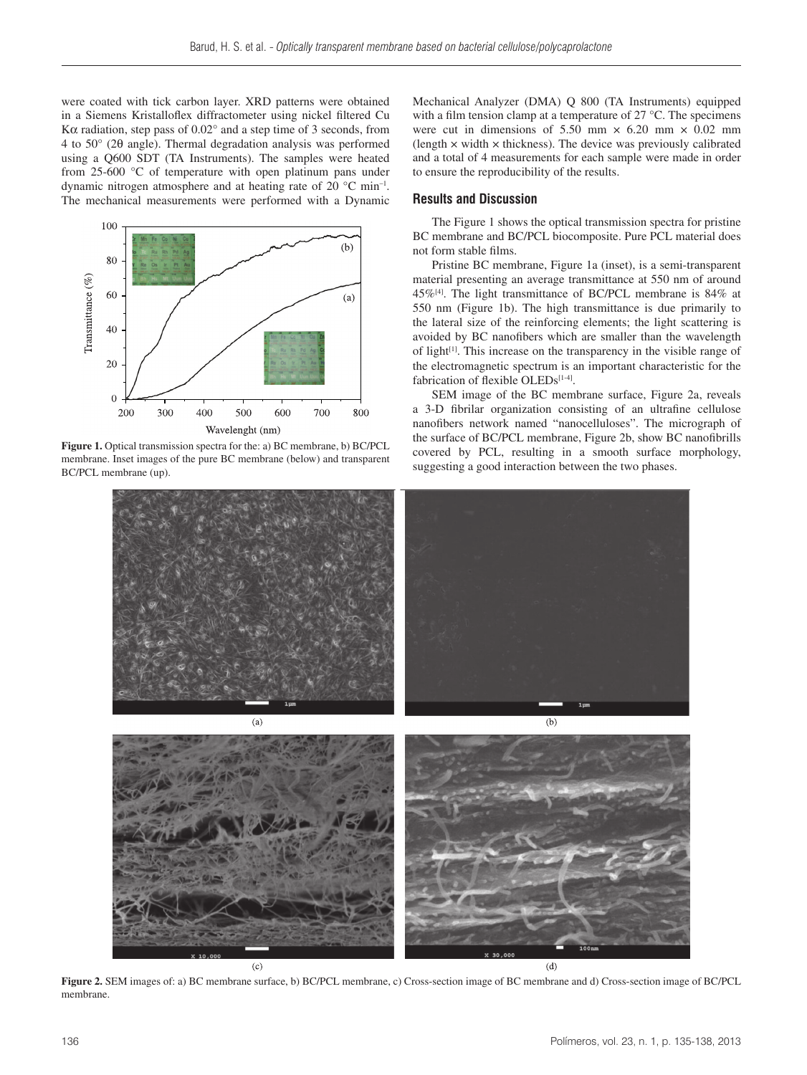were coated with tick carbon layer. XRD patterns were obtained in a Siemens Kristalloflex diffractometer using nickel filtered Cu Kα radiation, step pass of 0.02° and a step time of 3 seconds, from 4 to 50° (2θ angle). Thermal degradation analysis was performed using a Q600 SDT (TA Instruments). The samples were heated from 25-600 °C of temperature with open platinum pans under dynamic nitrogen atmosphere and at heating rate of 20 °C min–1. The mechanical measurements were performed with a Dynamic



**Figure 1.** Optical transmission spectra for the: a) BC membrane, b) BC/PCL membrane. Inset images of the pure BC membrane (below) and transparent BC/PCL membrane (up).

Mechanical Analyzer (DMA) Q 800 (TA Instruments) equipped with a film tension clamp at a temperature of 27 °C. The specimens were cut in dimensions of 5.50 mm  $\times$  6.20 mm  $\times$  0.02 mm (length  $\times$  width  $\times$  thickness). The device was previously calibrated and a total of 4 measurements for each sample were made in order to ensure the reproducibility of the results.

### **Results and Discussion**

The Figure 1 shows the optical transmission spectra for pristine BC membrane and BC/PCL biocomposite. Pure PCL material does not form stable films.

Pristine BC membrane, Figure 1a (inset), is a semi-transparent material presenting an average transmittance at 550 nm of around  $45\%$ <sup>[4]</sup>. The light transmittance of BC/PCL membrane is 84% at 550 nm (Figure 1b). The high transmittance is due primarily to the lateral size of the reinforcing elements; the light scattering is avoided by BC nanofibers which are smaller than the wavelength of light[1]. This increase on the transparency in the visible range of the electromagnetic spectrum is an important characteristic for the fabrication of flexible OLEDs $[1-4]$ .

SEM image of the BC membrane surface, Figure 2a, reveals a 3-D fibrilar organization consisting of an ultrafine cellulose nanofibers network named "nanocelluloses". The micrograph of the surface of BC/PCL membrane, Figure 2b, show BC nanofibrills covered by PCL, resulting in a smooth surface morphology, suggesting a good interaction between the two phases.



**Figure 2.** SEM images of: a) BC membrane surface, b) BC/PCL membrane, c) Cross-section image of BC membrane and d) Cross-section image of BC/PCL membrane.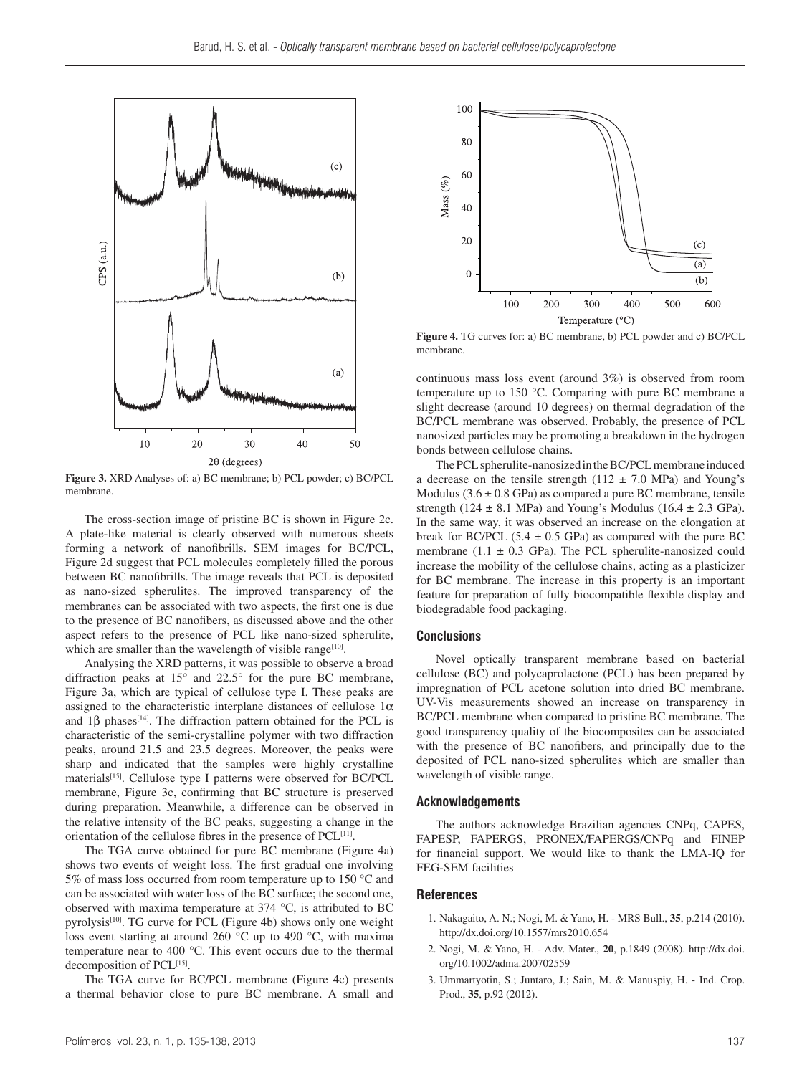

**Figure 3.** XRD Analyses of: a) BC membrane; b) PCL powder; c) BC/PCL membrane.

The cross-section image of pristine BC is shown in Figure 2c. A plate-like material is clearly observed with numerous sheets forming a network of nanofibrills. SEM images for BC/PCL, Figure 2d suggest that PCL molecules completely filled the porous between BC nanofibrills. The image reveals that PCL is deposited as nano-sized spherulites. The improved transparency of the membranes can be associated with two aspects, the first one is due to the presence of BC nanofibers, as discussed above and the other aspect refers to the presence of PCL like nano-sized spherulite, which are smaller than the wavelength of visible range $[10]$ .

Analysing the XRD patterns, it was possible to observe a broad diffraction peaks at 15° and 22.5° for the pure BC membrane, Figure 3a, which are typical of cellulose type I. These peaks are assigned to the characteristic interplane distances of cellulose  $1\alpha$ and  $1\beta$  phases<sup>[14]</sup>. The diffraction pattern obtained for the PCL is characteristic of the semi-crystalline polymer with two diffraction peaks, around 21.5 and 23.5 degrees. Moreover, the peaks were sharp and indicated that the samples were highly crystalline materials<sup>[15]</sup>. Cellulose type I patterns were observed for BC/PCL membrane, Figure 3c, confirming that BC structure is preserved during preparation. Meanwhile, a difference can be observed in the relative intensity of the BC peaks, suggesting a change in the orientation of the cellulose fibres in the presence of PCL[11].

The TGA curve obtained for pure BC membrane (Figure 4a) shows two events of weight loss. The first gradual one involving 5% of mass loss occurred from room temperature up to 150 °C and can be associated with water loss of the BC surface; the second one, observed with maxima temperature at 374 °C, is attributed to BC pyrolysis<sup>[10]</sup>. TG curve for PCL (Figure 4b) shows only one weight loss event starting at around 260 °C up to 490 °C, with maxima temperature near to 400 °C. This event occurs due to the thermal decomposition of PCL<sup>[15]</sup>.

The TGA curve for BC/PCL membrane (Figure 4c) presents a thermal behavior close to pure BC membrane. A small and



**Figure 4.** TG curves for: a) BC membrane, b) PCL powder and c) BC/PCL membrane.

continuous mass loss event (around 3%) is observed from room temperature up to 150 °C. Comparing with pure BC membrane a slight decrease (around 10 degrees) on thermal degradation of the BC/PCL membrane was observed. Probably, the presence of PCL nanosized particles may be promoting a breakdown in the hydrogen bonds between cellulose chains.

The PCL spherulite-nanosized in the BC/PCL membrane induced a decrease on the tensile strength ( $112 \pm 7.0$  MPa) and Young's Modulus  $(3.6 \pm 0.8 \text{ GPa})$  as compared a pure BC membrane, tensile strength (124  $\pm$  8.1 MPa) and Young's Modulus (16.4  $\pm$  2.3 GPa). In the same way, it was observed an increase on the elongation at break for BC/PCL (5.4  $\pm$  0.5 GPa) as compared with the pure BC membrane (1.1  $\pm$  0.3 GPa). The PCL spherulite-nanosized could increase the mobility of the cellulose chains, acting as a plasticizer for BC membrane. The increase in this property is an important feature for preparation of fully biocompatible flexible display and biodegradable food packaging.

#### **Conclusions**

Novel optically transparent membrane based on bacterial cellulose (BC) and polycaprolactone (PCL) has been prepared by impregnation of PCL acetone solution into dried BC membrane. UV-Vis measurements showed an increase on transparency in BC/PCL membrane when compared to pristine BC membrane. The good transparency quality of the biocomposites can be associated with the presence of BC nanofibers, and principally due to the deposited of PCL nano-sized spherulites which are smaller than wavelength of visible range.

#### **Acknowledgements**

The authors acknowledge Brazilian agencies CNPq, CAPES, FAPESP, FAPERGS, PRONEX/FAPERGS/CNPq and FINEP for financial support. We would like to thank the LMA-IQ for FEG-SEM facilities

#### **References**

- 1. Nakagaito, A. N.; Nogi, M. & Yano, H. MRS Bull., **35**, p.214 (2010). <http://dx.doi.org/10.1557/mrs2010.654>
- 2. Nogi, M. & Yano, H. Adv. Mater., **20**, p.1849 (2008). [http://dx.doi.](http://dx.doi.org/10.1002/adma.200702559) [org/10.1002/adma.200702559](http://dx.doi.org/10.1002/adma.200702559)
- 3. Ummartyotin, S.; Juntaro, J.; Sain, M. & Manuspiy, H. Ind. Crop. Prod., **35**, p.92 (2012).